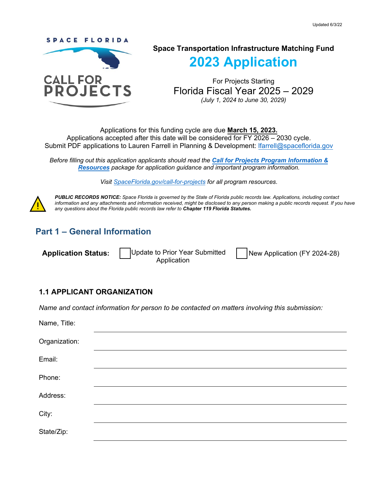

## **Space Transportation Infrastructure Matching Fund**

**2023 Application** 

For Projects Starting Florida Fiscal Year 2025 – 2029 *(July 1, 2024 to June 30, 2029)*

Applications for this funding cycle are due **March 15, 2023.**  Applications accepted after this date will be considered for FY 2026 – 2030 cycle. Submit PDF applications to Lauren Farrell in Planning & Development: Ifarrell@spaceflorida.gov

*Before filling out this application applicants should read the [Call for Projects Program Information &](https://www.spaceflorida.gov/call-for-projects/) [Resources](https://www.spaceflorida.gov/call-for-projects/) package for application guidance and important program information.* 

*Visit [SpaceFlorida.gov/call-for-projects](https://www.spaceflorida.gov/call-for-projects/) for all program resources.*



*PUBLIC RECORDS NOTICE: Space Florida is governed by the State of Florida public records law. Applications, including contact information and any attachments and information received, might be disclosed to any person making a public records request. If you have any questions about the Florida public records law refer to Chapter 119 Florida Statutes.*

## **Part 1 – General Information**

**Application Status:** Update to Prior Year Submitted

Application

New Application (FY 2024-28)

#### **1.1 APPLICANT ORGANIZATION**

*Name and contact information for person to be contacted on matters involving this submission:*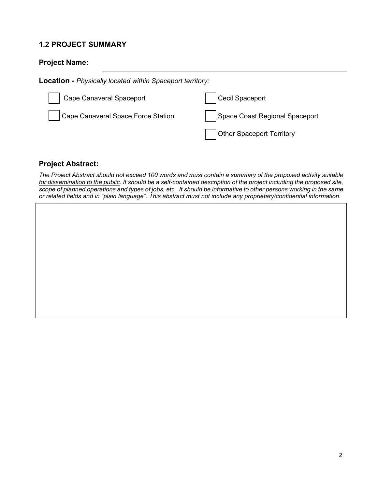## **1.2 PROJECT SUMMARY**

## **Project Name:**

**Location -** *Physically located within Spaceport territory:*

| Cape Canaveral Spaceport           | Cecil Spaceport                |
|------------------------------------|--------------------------------|
| Cape Canaveral Space Force Station | Space Coast Regional Spaceport |
|                                    | Other Spaceport Territory      |

### **Project Abstract:**

*The Project Abstract should not exceed 100 words and must contain a summary of the proposed activity suitable for dissemination to the public. It should be a self-contained description of the project including the proposed site, scope of planned operations and types of jobs, etc. It should be informative to other persons working in the same or related fields and in "plain language". This abstract must not include any proprietary/confidential information.*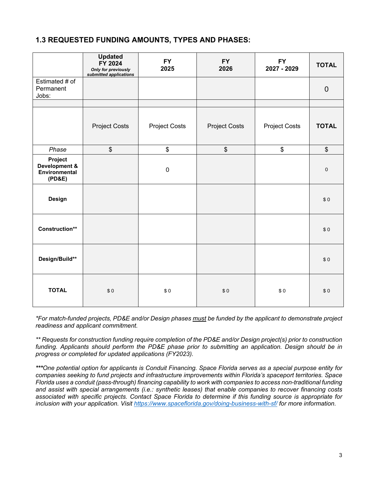## **1.3 REQUESTED FUNDING AMOUNTS, TYPES AND PHASES:**

|                                                     | <b>Updated</b><br>FY 2024<br>Only for previously<br>submitted applications | <b>FY</b><br>2025    | <b>FY</b><br>2026    | <b>FY</b><br>2027 - 2029 | <b>TOTAL</b>   |
|-----------------------------------------------------|----------------------------------------------------------------------------|----------------------|----------------------|--------------------------|----------------|
| Estimated # of<br>Permanent<br>Jobs:                |                                                                            |                      |                      |                          | $\overline{0}$ |
|                                                     |                                                                            |                      |                      |                          |                |
|                                                     | <b>Project Costs</b>                                                       | <b>Project Costs</b> | <b>Project Costs</b> | <b>Project Costs</b>     | <b>TOTAL</b>   |
| Phase                                               | $\, \, \raisebox{12pt}{$\scriptstyle \$}$                                  | \$                   | \$                   | \$                       | \$             |
| Project<br>Development &<br>Environmental<br>(PD&E) |                                                                            | $\mathbf 0$          |                      |                          | $\pmb{0}$      |
| Design                                              |                                                                            |                      |                      |                          | \$0            |
| Construction**                                      |                                                                            |                      |                      |                          | \$0            |
| Design/Build**                                      |                                                                            |                      |                      |                          | \$0            |
| <b>TOTAL</b>                                        | \$0                                                                        | \$0                  | \$0                  | \$0                      | \$0            |

*\*For match-funded projects, PD&E and/or Design phases must be funded by the applicant to demonstrate project readiness and applicant commitment.*

*\*\* Requests for construction funding require completion of the PD&E and/or Design project(s) prior to construction funding. Applicants should perform the PD&E phase prior to submitting an application. Design should be in progress or completed for updated applications (FY2023).*

*\*\*\*One potential option for applicants is Conduit Financing. Space Florida serves as a special purpose entity for companies seeking to fund projects and infrastructure improvements within Florida's spaceport territories. Space Florida uses a conduit (pass-through) financing capability to work with companies to access non-traditional funding and assist with special arrangements (i.e.: synthetic leases) that enable companies to recover financing costs associated with specific projects. Contact Space Florida to determine if this funding source is appropriate for inclusion with your application. Visit<https://www.spaceflorida.gov/doing-business-with-sf/> for more information.*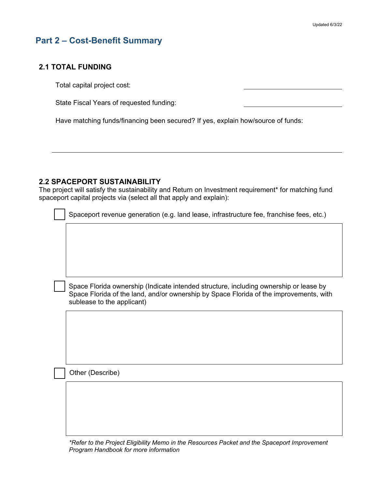## **Part 2 – Cost-Benefit Summary**

#### **2.1 TOTAL FUNDING**

Total capital project cost:

State Fiscal Years of requested funding:

Have matching funds/financing been secured? If yes, explain how/source of funds:

#### **2.2 SPACEPORT SUSTAINABILITY**

The project will satisfy the sustainability and Return on Investment requirement\* for matching fund spaceport capital projects via (select all that apply and explain):

| Spaceport revenue generation (e.g. land lease, infrastructure fee, franchise fees, etc.)                                                                                                                      |
|---------------------------------------------------------------------------------------------------------------------------------------------------------------------------------------------------------------|
|                                                                                                                                                                                                               |
|                                                                                                                                                                                                               |
|                                                                                                                                                                                                               |
|                                                                                                                                                                                                               |
| Space Florida ownership (Indicate intended structure, including ownership or lease by<br>Space Florida of the land, and/or ownership by Space Florida of the improvements, with<br>sublease to the applicant) |
|                                                                                                                                                                                                               |
|                                                                                                                                                                                                               |
|                                                                                                                                                                                                               |
|                                                                                                                                                                                                               |
| Other (Describe)                                                                                                                                                                                              |
|                                                                                                                                                                                                               |
|                                                                                                                                                                                                               |
|                                                                                                                                                                                                               |
|                                                                                                                                                                                                               |

*\*Refer to the Project Eligibility Memo in the Resources Packet and the Spaceport Improvement Program Handbook for more information*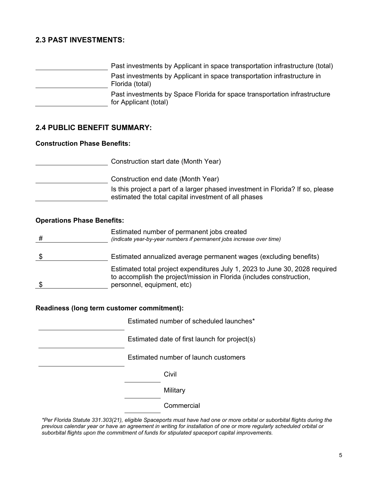### **2.3 PAST INVESTMENTS:**

| Past investments by Applicant in space transportation infrastructure (total)                       |
|----------------------------------------------------------------------------------------------------|
| Past investments by Applicant in space transportation infrastructure in<br>Florida (total)         |
| Past investments by Space Florida for space transportation infrastructure<br>for Applicant (total) |

#### **2.4 PUBLIC BENEFIT SUMMARY:**

#### **Construction Phase Benefits:**

Construction start date (Month Year) Construction end date (Month Year) Is this project a part of a larger phased investment in Florida? If so, please estimated the total capital investment of all phases

#### **Operations Phase Benefits:**

| # | Estimated number of permanent jobs created<br>(indicate year-by-year numbers if permanent jobs increase over time)                                                                |
|---|-----------------------------------------------------------------------------------------------------------------------------------------------------------------------------------|
|   | Estimated annualized average permanent wages (excluding benefits)                                                                                                                 |
|   | Estimated total project expenditures July 1, 2023 to June 30, 2028 required<br>to accomplish the project/mission in Florida (includes construction,<br>personnel, equipment, etc) |

#### **Readiness (long term customer commitment):**

Estimated number of scheduled launches\*

Estimated date of first launch for project(s)

Estimated number of launch customers

Civil

**Military** 

**Commercial** 

*\*Per Florida Statute 331.303(21), eligible Spaceports must have had one or more orbital or suborbital flights during the previous calendar year or have an agreement in writing for installation of one or more regularly scheduled orbital or suborbital flights upon the commitment of funds for stipulated spaceport capital improvements.*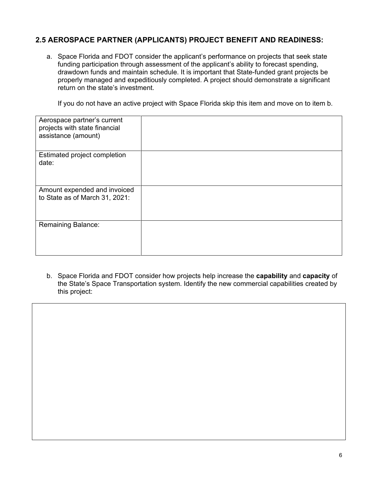## **2.5 AEROSPACE PARTNER (APPLICANTS) PROJECT BENEFIT AND READINESS:**

a. Space Florida and FDOT consider the applicant's performance on projects that seek state funding participation through assessment of the applicant's ability to forecast spending, drawdown funds and maintain schedule. It is important that State-funded grant projects be properly managed and expeditiously completed. A project should demonstrate a significant return on the state's investment.

If you do not have an active project with Space Florida skip this item and move on to item b.

| Aerospace partner's current<br>projects with state financial<br>assistance (amount) |  |
|-------------------------------------------------------------------------------------|--|
| Estimated project completion<br>date:                                               |  |
| Amount expended and invoiced<br>to State as of March 31, 2021:                      |  |
| <b>Remaining Balance:</b>                                                           |  |

b. Space Florida and FDOT consider how projects help increase the **capability** and **capacity** of the State's Space Transportation system. Identify the new commercial capabilities created by this project: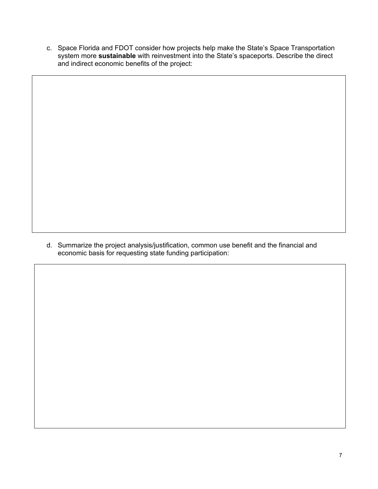c. Space Florida and FDOT consider how projects help make the State's Space Transportation system more **sustainable** with reinvestment into the State's spaceports. Describe the direct and indirect economic benefits of the project:

d. Summarize the project analysis/justification, common use benefit and the financial and economic basis for requesting state funding participation: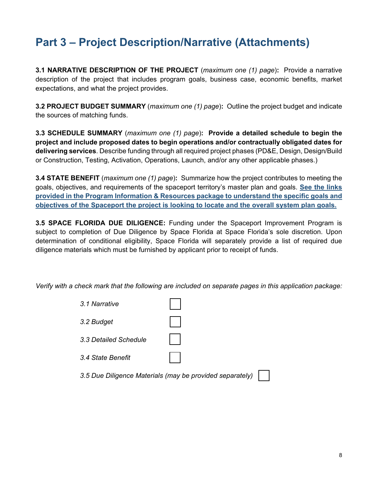## **Part 3 – Project Description/Narrative (Attachments)**

**3.1 NARRATIVE DESCRIPTION OF THE PROJECT** (*maximum one (1) page*)**:** Provide a narrative description of the project that includes program goals, business case, economic benefits, market expectations, and what the project provides.

**3.2 PROJECT BUDGET SUMMARY** (*maximum one (1) page*)**:** Outline the project budget and indicate the sources of matching funds.

**3.3 SCHEDULE SUMMARY** (*maximum one (1) page*)**: Provide a detailed schedule to begin the project and include proposed dates to begin operations and/or contractually obligated dates for delivering services**. Describe funding through all required project phases (PD&E, Design, Design/Build or Construction, Testing, Activation, Operations, Launch, and/or any other applicable phases.)

**3.4 STATE BENEFIT** (*maximum one (1) page*)**:** Summarize how the project contributes to meeting the goals, objectives, and requirements of the spaceport territory's master plan and goals. **See the links provided in the Program Information & Resources package to understand the specific goals and objectives of the Spaceport the project is looking to locate and the overall system plan goals.**

**3.5 SPACE FLORIDA DUE DILIGENCE:** Funding under the Spaceport Improvement Program is subject to completion of Due Diligence by Space Florida at Space Florida's sole discretion. Upon determination of conditional eligibility, Space Florida will separately provide a list of required due diligence materials which must be furnished by applicant prior to receipt of funds.

*Verify with a check mark that the following are included on separate pages in this application package:* 

| 3.1 Narrative                                            |  |
|----------------------------------------------------------|--|
| 3.2 Budget                                               |  |
| 3.3 Detailed Schedule                                    |  |
| 3.4 State Benefit                                        |  |
| 3.5 Due Diligence Materials (may be provided separately) |  |